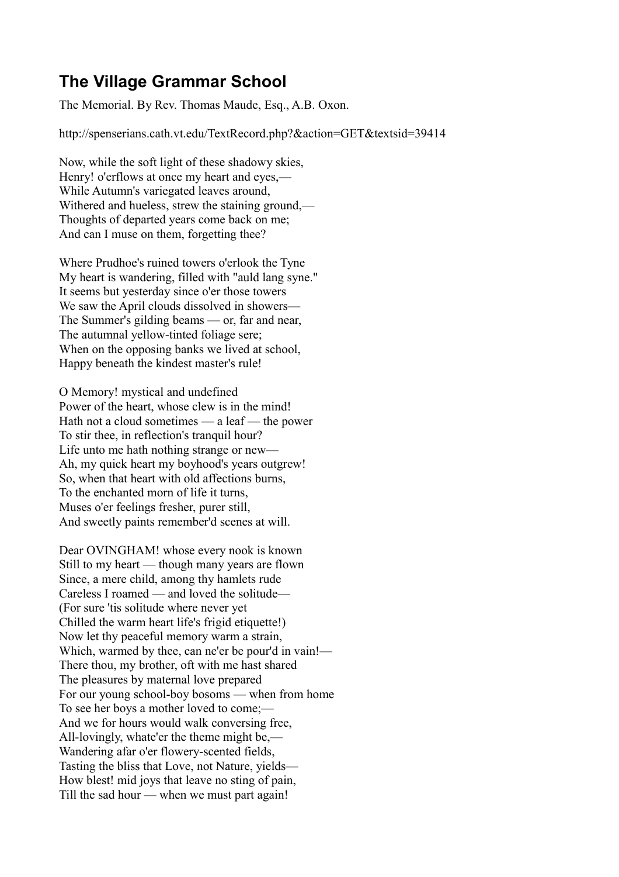## **The Village Grammar School**

The Memorial. By Rev. Thomas Maude, Esq., A.B. Oxon.

http://spenserians.cath.vt.edu/TextRecord.php?&action=GET&textsid=39414

Now, while the soft light of these shadowy skies, Henry! o'erflows at once my heart and eyes,— While Autumn's variegated leaves around, Withered and hueless, strew the staining ground,— Thoughts of departed years come back on me; And can I muse on them, forgetting thee?

Where Prudhoe's ruined towers o'erlook the Tyne My heart is wandering, filled with "auld lang syne." It seems but yesterday since o'er those towers We saw the April clouds dissolved in showers— The Summer's gilding beams — or, far and near, The autumnal yellow-tinted foliage sere; When on the opposing banks we lived at school. Happy beneath the kindest master's rule!

O Memory! mystical and undefined Power of the heart, whose clew is in the mind! Hath not a cloud sometimes — a leaf — the power To stir thee, in reflection's tranquil hour? Life unto me hath nothing strange or new— Ah, my quick heart my boyhood's years outgrew! So, when that heart with old affections burns, To the enchanted morn of life it turns, Muses o'er feelings fresher, purer still, And sweetly paints remember'd scenes at will.

Dear OVINGHAM! whose every nook is known Still to my heart — though many years are flown Since, a mere child, among thy hamlets rude Careless I roamed — and loved the solitude— (For sure 'tis solitude where never yet Chilled the warm heart life's frigid etiquette!) Now let thy peaceful memory warm a strain, Which, warmed by thee, can ne'er be pour'd in vain!— There thou, my brother, oft with me hast shared The pleasures by maternal love prepared For our young school-boy bosoms — when from home To see her boys a mother loved to come;— And we for hours would walk conversing free, All-lovingly, whate'er the theme might be,— Wandering afar o'er flowery-scented fields, Tasting the bliss that Love, not Nature, yields— How blest! mid joys that leave no sting of pain, Till the sad hour — when we must part again!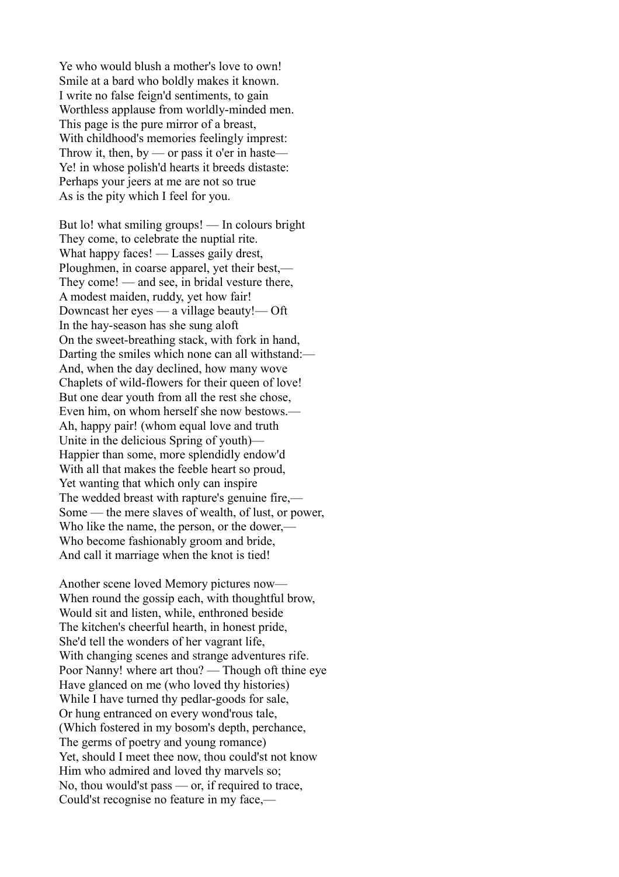Ye who would blush a mother's love to own! Smile at a bard who boldly makes it known. I write no false feign'd sentiments, to gain Worthless applause from worldly-minded men. This page is the pure mirror of a breast, With childhood's memories feelingly imprest: Throw it, then, by — or pass it o'er in haste— Ye! in whose polish'd hearts it breeds distaste: Perhaps your jeers at me are not so true As is the pity which I feel for you.

But lo! what smiling groups! — In colours bright They come, to celebrate the nuptial rite. What happy faces! — Lasses gaily drest, Ploughmen, in coarse apparel, yet their best,— They come! — and see, in bridal vesture there, A modest maiden, ruddy, yet how fair! Downcast her eyes — a village beauty!— Oft In the hay-season has she sung aloft On the sweet-breathing stack, with fork in hand, Darting the smiles which none can all withstand:— And, when the day declined, how many wove Chaplets of wild-flowers for their queen of love! But one dear youth from all the rest she chose, Even him, on whom herself she now bestows.— Ah, happy pair! (whom equal love and truth Unite in the delicious Spring of youth)— Happier than some, more splendidly endow'd With all that makes the feeble heart so proud, Yet wanting that which only can inspire The wedded breast with rapture's genuine fire,— Some — the mere slaves of wealth, of lust, or power, Who like the name, the person, or the dower,— Who become fashionably groom and bride, And call it marriage when the knot is tied!

Another scene loved Memory pictures now— When round the gossip each, with thoughtful brow, Would sit and listen, while, enthroned beside The kitchen's cheerful hearth, in honest pride, She'd tell the wonders of her vagrant life, With changing scenes and strange adventures rife. Poor Nanny! where art thou? — Though oft thine eye Have glanced on me (who loved thy histories) While I have turned thy pedlar-goods for sale, Or hung entranced on every wond'rous tale, (Which fostered in my bosom's depth, perchance, The germs of poetry and young romance) Yet, should I meet thee now, thou could'st not know Him who admired and loved thy marvels so; No, thou would'st pass — or, if required to trace, Could'st recognise no feature in my face,—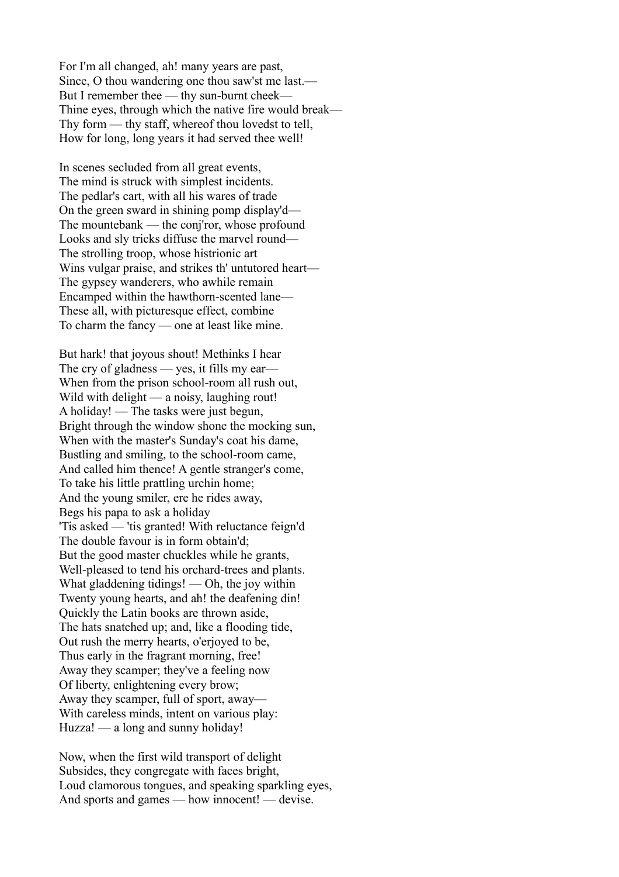For I'm all changed, ah! many years are past, Since, O thou wandering one thou saw'st me last.— But I remember thee — thy sun-burnt cheek— Thine eyes, through which the native fire would break— Thy form — thy staff, whereof thou lovedst to tell, How for long, long years it had served thee well!

In scenes secluded from all great events, The mind is struck with simplest incidents. The pedlar's cart, with all his wares of trade On the green sward in shining pomp display'd— The mountebank — the conj'ror, whose profound Looks and sly tricks diffuse the marvel round— The strolling troop, whose histrionic art Wins vulgar praise, and strikes th' untutored heart— The gypsey wanderers, who awhile remain Encamped within the hawthorn-scented lane— These all, with picturesque effect, combine To charm the fancy — one at least like mine.

But hark! that joyous shout! Methinks I hear The cry of gladness — yes, it fills my ear— When from the prison school-room all rush out, Wild with delight — a noisy, laughing rout! A holiday! — The tasks were just begun, Bright through the window shone the mocking sun, When with the master's Sunday's coat his dame, Bustling and smiling, to the school-room came, And called him thence! A gentle stranger's come, To take his little prattling urchin home; And the young smiler, ere he rides away, Begs his papa to ask a holiday 'Tis asked — 'tis granted! With reluctance feign'd The double favour is in form obtain'd; But the good master chuckles while he grants, Well-pleased to tend his orchard-trees and plants. What gladdening tidings! — Oh, the joy within Twenty young hearts, and ah! the deafening din! Quickly the Latin books are thrown aside, The hats snatched up; and, like a flooding tide, Out rush the merry hearts, o'erjoyed to be, Thus early in the fragrant morning, free! Away they scamper; they've a feeling now Of liberty, enlightening every brow; Away they scamper, full of sport, away— With careless minds, intent on various play: Huzza! — a long and sunny holiday!

Now, when the first wild transport of delight Subsides, they congregate with faces bright, Loud clamorous tongues, and speaking sparkling eyes, And sports and games — how innocent! — devise.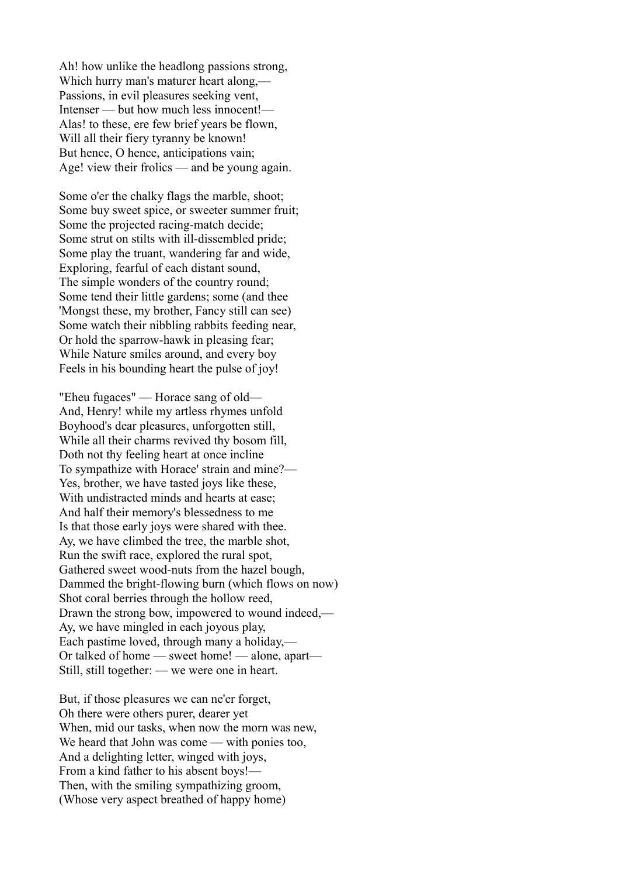Ah! how unlike the headlong passions strong, Which hurry man's maturer heart along,— Passions, in evil pleasures seeking vent, Intenser — but how much less innocent!— Alas! to these, ere few brief years be flown, Will all their fiery tyranny be known! But hence, O hence, anticipations vain; Age! view their frolics — and be young again.

Some o'er the chalky flags the marble, shoot; Some buy sweet spice, or sweeter summer fruit; Some the projected racing-match decide; Some strut on stilts with ill-dissembled pride; Some play the truant, wandering far and wide, Exploring, fearful of each distant sound, The simple wonders of the country round; Some tend their little gardens; some (and thee 'Mongst these, my brother, Fancy still can see) Some watch their nibbling rabbits feeding near, Or hold the sparrow-hawk in pleasing fear; While Nature smiles around, and every boy Feels in his bounding heart the pulse of joy!

"Eheu fugaces" — Horace sang of old— And, Henry! while my artless rhymes unfold Boyhood's dear pleasures, unforgotten still, While all their charms revived thy bosom fill, Doth not thy feeling heart at once incline To sympathize with Horace' strain and mine?— Yes, brother, we have tasted joys like these, With undistracted minds and hearts at ease; And half their memory's blessedness to me Is that those early joys were shared with thee. Ay, we have climbed the tree, the marble shot, Run the swift race, explored the rural spot, Gathered sweet wood-nuts from the hazel bough, Dammed the bright-flowing burn (which flows on now) Shot coral berries through the hollow reed, Drawn the strong bow, impowered to wound indeed,— Ay, we have mingled in each joyous play, Each pastime loved, through many a holiday,— Or talked of home — sweet home! — alone, apart— Still, still together: — we were one in heart.

But, if those pleasures we can ne'er forget, Oh there were others purer, dearer yet When, mid our tasks, when now the morn was new, We heard that John was come — with ponies too, And a delighting letter, winged with joys, From a kind father to his absent boys!— Then, with the smiling sympathizing groom, (Whose very aspect breathed of happy home)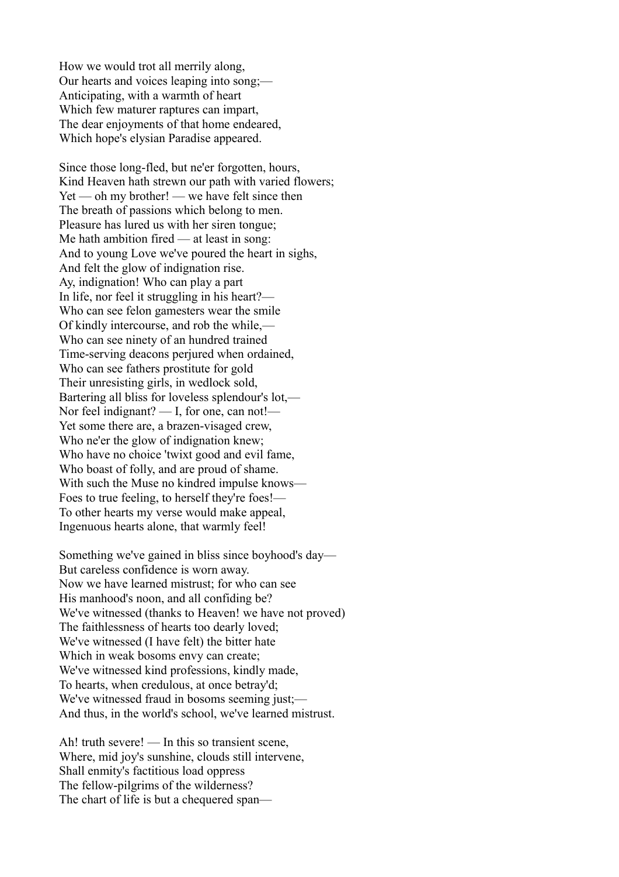How we would trot all merrily along, Our hearts and voices leaping into song;— Anticipating, with a warmth of heart Which few maturer raptures can impart, The dear enjoyments of that home endeared, Which hope's elysian Paradise appeared.

Since those long-fled, but ne'er forgotten, hours, Kind Heaven hath strewn our path with varied flowers;  $Yet$  — oh my brother! — we have felt since then The breath of passions which belong to men. Pleasure has lured us with her siren tongue; Me hath ambition fired — at least in song: And to young Love we've poured the heart in sighs, And felt the glow of indignation rise. Ay, indignation! Who can play a part In life, nor feel it struggling in his heart?— Who can see felon gamesters wear the smile Of kindly intercourse, and rob the while,— Who can see ninety of an hundred trained Time-serving deacons perjured when ordained, Who can see fathers prostitute for gold Their unresisting girls, in wedlock sold, Bartering all bliss for loveless splendour's lot,— Nor feel indignant? — I, for one, can not!— Yet some there are, a brazen-visaged crew, Who ne'er the glow of indignation knew; Who have no choice 'twixt good and evil fame, Who boast of folly, and are proud of shame. With such the Muse no kindred impulse knows— Foes to true feeling, to herself they're foes!— To other hearts my verse would make appeal, Ingenuous hearts alone, that warmly feel!

Something we've gained in bliss since boyhood's day— But careless confidence is worn away. Now we have learned mistrust; for who can see His manhood's noon, and all confiding be? We've witnessed (thanks to Heaven! we have not proved) The faithlessness of hearts too dearly loved; We've witnessed (I have felt) the bitter hate Which in weak bosoms envy can create; We've witnessed kind professions, kindly made, To hearts, when credulous, at once betray'd; We've witnessed fraud in bosoms seeming just;— And thus, in the world's school, we've learned mistrust.

Ah! truth severe! — In this so transient scene, Where, mid joy's sunshine, clouds still intervene, Shall enmity's factitious load oppress The fellow-pilgrims of the wilderness? The chart of life is but a chequered span—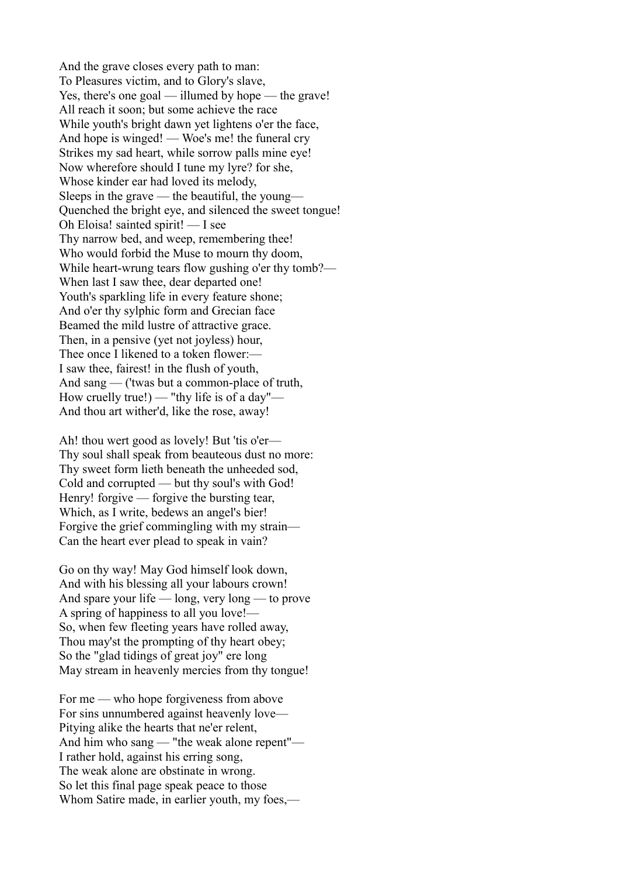And the grave closes every path to man: To Pleasures victim, and to Glory's slave, Yes, there's one goal — illumed by hope — the grave! All reach it soon; but some achieve the race While youth's bright dawn yet lightens o'er the face, And hope is winged! — Woe's me! the funeral cry Strikes my sad heart, while sorrow palls mine eye! Now wherefore should I tune my lyre? for she, Whose kinder ear had loved its melody, Sleeps in the grave — the beautiful, the young— Quenched the bright eye, and silenced the sweet tongue! Oh Eloisa! sainted spirit! — I see Thy narrow bed, and weep, remembering thee! Who would forbid the Muse to mourn thy doom, While heart-wrung tears flow gushing o'er thy tomb?— When last I saw thee, dear departed one! Youth's sparkling life in every feature shone; And o'er thy sylphic form and Grecian face Beamed the mild lustre of attractive grace. Then, in a pensive (yet not joyless) hour, Thee once I likened to a token flower:— I saw thee, fairest! in the flush of youth, And sang — ('twas but a common-place of truth, How cruelly true!) — "thy life is of a day"— And thou art wither'd, like the rose, away!

Ah! thou wert good as lovely! But 'tis o'er— Thy soul shall speak from beauteous dust no more: Thy sweet form lieth beneath the unheeded sod, Cold and corrupted — but thy soul's with God! Henry! forgive — forgive the bursting tear, Which, as I write, bedews an angel's bier! Forgive the grief commingling with my strain— Can the heart ever plead to speak in vain?

Go on thy way! May God himself look down, And with his blessing all your labours crown! And spare your life — long, very long — to prove A spring of happiness to all you love!— So, when few fleeting years have rolled away, Thou may'st the prompting of thy heart obey; So the "glad tidings of great joy" ere long May stream in heavenly mercies from thy tongue!

For me — who hope forgiveness from above For sins unnumbered against heavenly love— Pitying alike the hearts that ne'er relent, And him who sang — "the weak alone repent"— I rather hold, against his erring song, The weak alone are obstinate in wrong. So let this final page speak peace to those Whom Satire made, in earlier youth, my foes,—